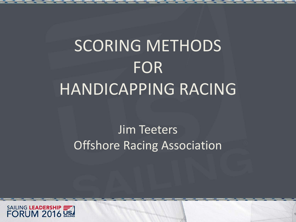# SCORING METHODS FOR HANDICAPPING RACING

#### Jim Teeters Offshore Racing Association

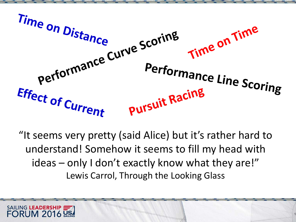

"It seems very pretty (said Alice) but it's rather hard to understand! Somehow it seems to fill my head with ideas – only I don't exactly know what they are!" Lewis Carrol, Through the Looking Glass

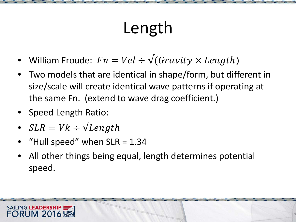# Length

- William Froude:  $Fn = Vel \div \sqrt{(Gravity \times Length)}$
- Two models that are identical in shape/form, but different in size/scale will create identical wave patterns if operating at the same Fn. (extend to wave drag coefficient.)
- Speed Length Ratio:
- $SLR = Vk \div \sqrt{Length}$
- "Hull speed" when  $SLR = 1.34$
- All other things being equal, length determines potential speed.

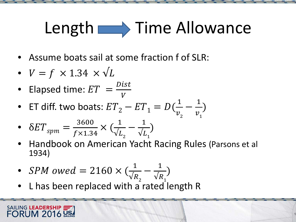# Length  $\longrightarrow$  Time Allowance

- Assume boats sail at some fraction f of SLR:
- $V = f \times 1.34 \times \sqrt{L}$
- Elapsed time:  $ET = \frac{Dist}{V}$ V
- ET diff. two boats:  $ET_2 ET_1 = D(\frac{1}{\nu})$  $v_{\overline{2}}$  $-\frac{1}{v}$  $v_{1}$ )

• 
$$
\delta ET_{sym} = \frac{3600}{f \times 1.34} \times (\frac{1}{\sqrt{L_2}} - \frac{1}{\sqrt{L_1}})
$$

- Handbook on American Yacht Racing Rules (Parsons et al 1934)
- $\bullet \;$  SPM owed = 2160  $\times$  (  $\frac{1}{\sqrt{k}}$  $\sqrt{R}$ <sub>2</sub>  $-\frac{1}{\sqrt{k}}$  $\vee R$ <sub>1</sub> )
- L has been replaced with a rated length R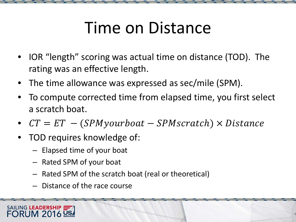## Time on Distance

- IOR "length" scoring was actual time on distance (TOD). The rating was an effective length.
- The time allowance was expressed as sec/mile (SPM).
- To compute corrected time from elapsed time, you first select a scratch boat.
- $CT = ET (SPM your boat SPM scratch) \times Distance$
- TOD requires knowledge of:
	- Elapsed time of your boat
	- Rated SPM of your boat
	- Rated SPM of the scratch boat (real or theoretical)
	- Distance of the race course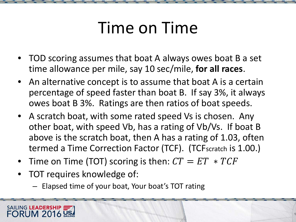## Time on Time

- TOD scoring assumes that boat A always owes boat B a set time allowance per mile, say 10 sec/mile, **for all races**.
- An alternative concept is to assume that boat A is a certain percentage of speed faster than boat B. If say 3%, it always owes boat B 3%. Ratings are then ratios of boat speeds.
- A scratch boat, with some rated speed Vs is chosen. Any other boat, with speed Vb, has a rating of Vb/Vs. If boat B above is the scratch boat, then A has a rating of 1.03, often termed a Time Correction Factor (TCF). (TCFscratch is 1.00.)
- Time on Time (TOT) scoring is then:  $CT = ET * TCF$
- TOT requires knowledge of:

SAILING LEADERSHIP

– Elapsed time of your boat, Your boat's TOT rating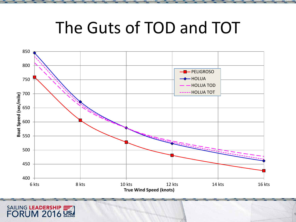#### The Guts of TOD and TOT

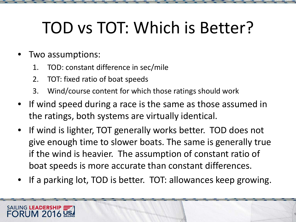## TOD vs TOT: Which is Better?

#### • Two assumptions:

- 1. TOD: constant difference in sec/mile
- 2. TOT: fixed ratio of boat speeds
- 3. Wind/course content for which those ratings should work
- If wind speed during a race is the same as those assumed in the ratings, both systems are virtually identical.
- If wind is lighter, TOT generally works better. TOD does not give enough time to slower boats. The same is generally true if the wind is heavier. The assumption of constant ratio of boat speeds is more accurate than constant differences.
- If a parking lot, TOD is better. TOT: allowances keep growing.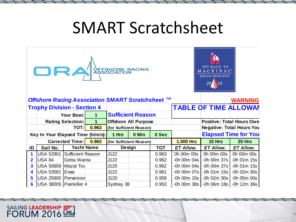#### SMART Scratchsheet

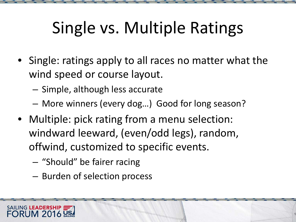# Single vs. Multiple Ratings

- Single: ratings apply to all races no matter what the wind speed or course layout.
	- Simple, although less accurate
	- More winners (every dog…) Good for long season?
- Multiple: pick rating from a menu selection: windward leeward, (even/odd legs), random, offwind, customized to specific events.
	- "Should" be fairer racing

SAILING LEADERSHIP

– Burden of selection process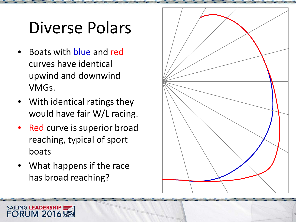## Diverse Polars

- Boats with blue and red curves have identical upwind and downwind VMGs.
- With identical ratings they would have fair W/L racing.
- Red curve is superior broad reaching, typical of sport boats
- What happens if the race has broad reaching?

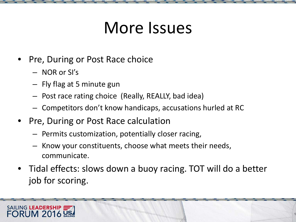## More Issues

- Pre, During or Post Race choice
	- NOR or SI's

- Fly flag at 5 minute gun
- Post race rating choice (Really, REALLY, bad idea)
- Competitors don't know handicaps, accusations hurled at RC
- Pre, During or Post Race calculation
	- Permits customization, potentially closer racing,
	- Know your constituents, choose what meets their needs, communicate.
- Tidal effects: slows down a buoy racing. TOT will do a better job for scoring.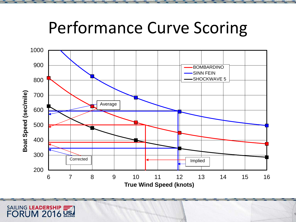#### Performance Curve Scoring

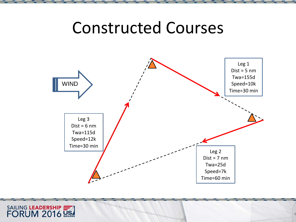#### Constructed Courses



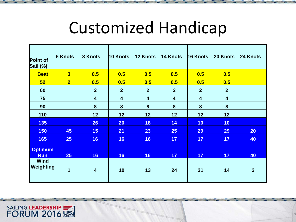#### Customized Handicap

| <b>Point of</b><br>Sail (%)  | <b>6 Knots</b> | 8 Knots                 | 10 Knots                | $12$ Knots     | 14 Knots       | 16 Knots         | 20 Knots       | 24 Knots     |
|------------------------------|----------------|-------------------------|-------------------------|----------------|----------------|------------------|----------------|--------------|
| <b>Beat</b>                  | 3              | 0.5                     | 0.5                     | 0.5            | 0.5            | 0.5              | 0.5            |              |
| 52                           | 2 <sub>1</sub> | 0.5                     | 0.5                     | 0.5            | 0.5            | 0.5              | 0.5            |              |
| 60                           |                | 2 <sup>1</sup>          | 2 <sup>2</sup>          | 2 <sup>2</sup> | $\overline{2}$ | $2\overline{ }$  | $\overline{2}$ |              |
| 75                           |                | $\overline{\mathbf{4}}$ | $\overline{\mathbf{4}}$ | 4              | 4              | 4                | 4              |              |
| 90                           |                | 8                       | 8                       | 8              | 8              | $\boldsymbol{8}$ | 8              |              |
| 110                          |                | 12                      | 12                      | 12             | 12             | 12               | 12             |              |
| 135                          |                | 26                      | 20                      | <b>18</b>      | 14             | 10               | 10             |              |
| <b>150</b>                   | 45             | 15                      | 21                      | 23             | 25             | 29               | 29             | 20           |
| <b>165</b>                   | 25             | 16                      | 16                      | 16             | 17             | 17               | 17             | 40           |
| <b>Optimum</b><br><b>Run</b> | 25             | 16                      | 16                      | 16             | 17             | 17               | 17             | 40           |
| <b>Wind</b><br>Weighting     | 1              | $\overline{\mathbf{4}}$ | 10                      | 13             | 24             | 31               | 14             | $\mathbf{3}$ |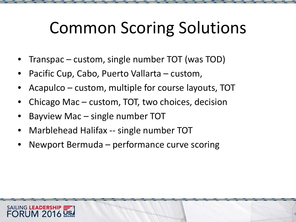## Common Scoring Solutions

- Transpac custom, single number TOT (was TOD)
- Pacific Cup, Cabo, Puerto Vallarta custom,
- Acapulco custom, multiple for course layouts, TOT
- Chicago Mac custom, TOT, two choices, decision
- Bayview Mac  $-$  single number TOT
- Marblehead Halifax -- single number TOT
- Newport Bermuda performance curve scoring

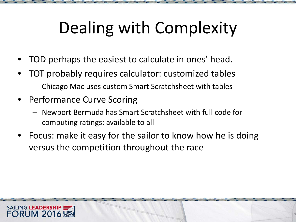# Dealing with Complexity

- TOD perhaps the easiest to calculate in ones' head.
- TOT probably requires calculator: customized tables
	- Chicago Mac uses custom Smart Scratchsheet with tables
- Performance Curve Scoring
	- Newport Bermuda has Smart Scratchsheet with full code for computing ratings: available to all
- Focus: make it easy for the sailor to know how he is doing versus the competition throughout the race

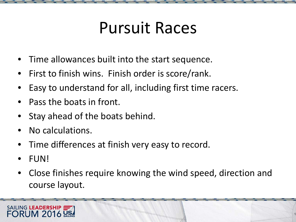## Pursuit Races

- Time allowances built into the start sequence.
- First to finish wins. Finish order is score/rank.
- Easy to understand for all, including first time racers.
- Pass the boats in front.
- Stay ahead of the boats behind.
- No calculations.
- Time differences at finish very easy to record.
- FUN!
- Close finishes require knowing the wind speed, direction and course layout.

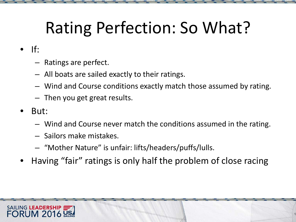## Rating Perfection: So What?

- $\bullet$  If:
	- Ratings are perfect.
	- All boats are sailed exactly to their ratings.
	- Wind and Course conditions exactly match those assumed by rating.
	- Then you get great results.
- But:
	- Wind and Course never match the conditions assumed in the rating.
	- Sailors make mistakes.
	- "Mother Nature" is unfair: lifts/headers/puffs/lulls.
- Having "fair" ratings is only half the problem of close racing

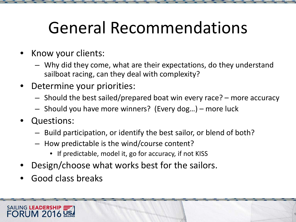## General Recommendations

- Know your clients:
	- Why did they come, what are their expectations, do they understand sailboat racing, can they deal with complexity?
- Determine your priorities:
	- Should the best sailed/prepared boat win every race? more accuracy
	- Should you have more winners? (Every dog…) more luck
- Questions:
	- Build participation, or identify the best sailor, or blend of both?
	- How predictable is the wind/course content?
		- If predictable, model it, go for accuracy, if not KISS
- Design/choose what works best for the sailors.
- Good class breaks